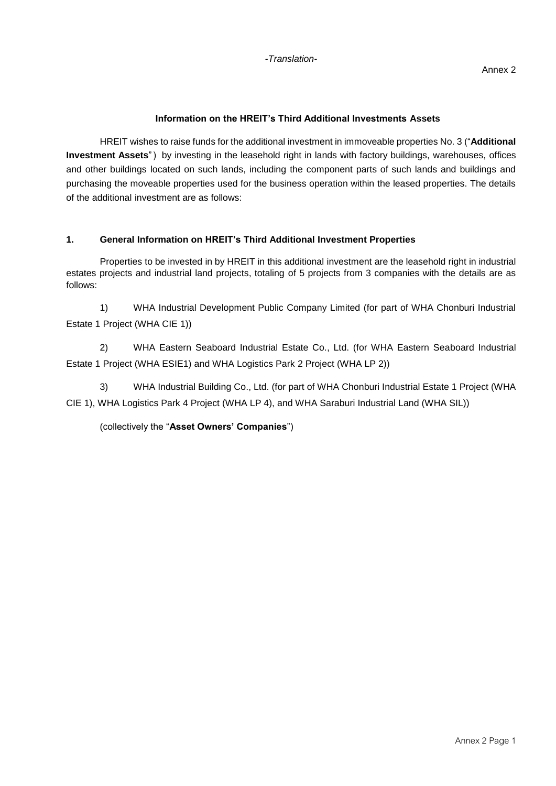## **Information on the HREIT's Third Additional Investments Assets**

HREIT wishes to raise funds for the additional investment in immoveable properties No. 3 ("**Additional Investment Assets**") by investing in the leasehold right in lands with factory buildings, warehouses, offices and other buildings located on such lands, including the component parts of such lands and buildings and purchasing the moveable properties used for the business operation within the leased properties. The details of the additional investment are as follows:

## **1. General Information on HREIT's Third Additional Investment Properties**

Properties to be invested in by HREIT in this additional investment are the leasehold right in industrial estates projects and industrial land projects, totaling of 5 projects from 3 companies with the details are as follows:

1) WHA Industrial Development Public Company Limited (for part of WHA Chonburi Industrial Estate 1 Project (WHA CIE 1))

2) WHA Eastern Seaboard Industrial Estate Co., Ltd. (for WHA Eastern Seaboard Industrial Estate 1 Project (WHA ESIE1) and WHA Logistics Park 2 Project (WHA LP 2))

3) WHA Industrial Building Co., Ltd. (for part of WHA Chonburi Industrial Estate 1 Project (WHA CIE 1), WHA Logistics Park 4 Project (WHA LP 4), and WHA Saraburi Industrial Land (WHA SIL))

(collectively the "**Asset Owners' Companies**")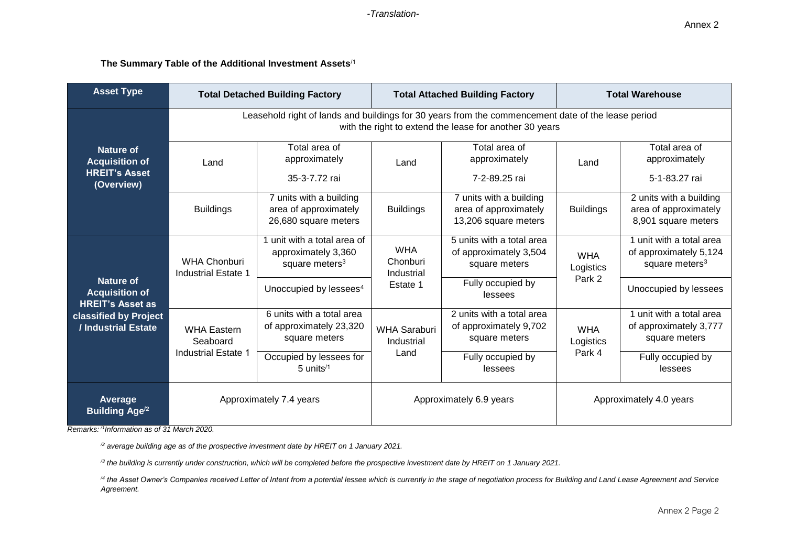#### **The Summary Table of the Additional Investment Assets**/1

| <b>Asset Type</b>                                                        |                                                                                                                                                               | <b>Total Detached Building Factory</b>                                           |                                      | <b>Total Attached Building Factory</b>                                   | <b>Total Warehouse</b>  |                                                                                  |  |  |  |  |
|--------------------------------------------------------------------------|---------------------------------------------------------------------------------------------------------------------------------------------------------------|----------------------------------------------------------------------------------|--------------------------------------|--------------------------------------------------------------------------|-------------------------|----------------------------------------------------------------------------------|--|--|--|--|
|                                                                          | Leasehold right of lands and buildings for 30 years from the commencement date of the lease period<br>with the right to extend the lease for another 30 years |                                                                                  |                                      |                                                                          |                         |                                                                                  |  |  |  |  |
| Nature of<br><b>Acquisition of</b><br><b>HREIT's Asset</b><br>(Overview) | Land                                                                                                                                                          | Total area of<br>approximately<br>35-3-7.72 rai                                  | Land                                 | Total area of<br>approximately<br>7-2-89.25 rai                          | Land                    | Total area of<br>approximately<br>5-1-83.27 rai                                  |  |  |  |  |
|                                                                          | <b>Buildings</b>                                                                                                                                              | 7 units with a building<br>area of approximately<br>26,680 square meters         | <b>Buildings</b>                     | 7 units with a building<br>area of approximately<br>13,206 square meters | <b>Buildings</b>        | 2 units with a building<br>area of approximately<br>8,901 square meters          |  |  |  |  |
|                                                                          | <b>WHA Chonburi</b><br>Industrial Estate 1                                                                                                                    | 1 unit with a total area of<br>approximately 3,360<br>square meters <sup>3</sup> | <b>WHA</b><br>Chonburi<br>Industrial | 5 units with a total area<br>of approximately 3,504<br>square meters     | <b>WHA</b><br>Logistics | 1 unit with a total area<br>of approximately 5,124<br>square meters <sup>3</sup> |  |  |  |  |
| <b>Nature of</b><br><b>Acquisition of</b><br><b>HREIT's Asset as</b>     |                                                                                                                                                               | Unoccupied by lessees <sup>4</sup>                                               | Estate 1                             | Fully occupied by<br>lessees                                             | Park 2                  | Unoccupied by lessees                                                            |  |  |  |  |
| classified by Project<br>/ Industrial Estate                             | <b>WHA Eastern</b><br>Seaboard                                                                                                                                | 6 units with a total area<br>of approximately 23,320<br>square meters            | <b>WHA Saraburi</b><br>Industrial    | 2 units with a total area<br>of approximately 9,702<br>square meters     | <b>WHA</b><br>Logistics | 1 unit with a total area<br>of approximately 3,777<br>square meters              |  |  |  |  |
|                                                                          | <b>Industrial Estate 1</b>                                                                                                                                    | Occupied by lessees for<br>$5$ units <sup><math>/1</math></sup>                  | Land                                 | Fully occupied by<br>lessees                                             | Park 4                  | Fully occupied by<br>lessees                                                     |  |  |  |  |
| Average<br><b>Building Age<sup>/2</sup></b>                              | Approximately 7.4 years                                                                                                                                       |                                                                                  |                                      | Approximately 6.9 years                                                  | Approximately 4.0 years |                                                                                  |  |  |  |  |

*Remarks: /1Information as of 31 March 2020.*

*/2 average building age as of the prospective investment date by HREIT on 1 January 2021.*

*/3 the building is currently under construction, which will be completed before the prospective investment date by HREIT on 1 January 2021.*

<sup>/4</sup> the Asset Owner's Companies received Letter of Intent from a potential lessee which is currently in the stage of negotiation process for Building and Land Lease Agreement and Service *Agreement.*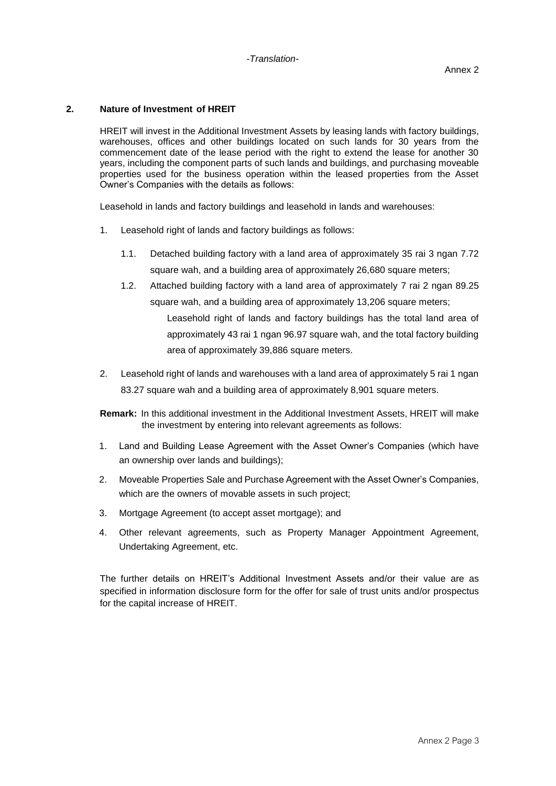#### **2. Nature of Investment of HREIT**

HREIT will invest in the Additional Investment Assets by leasing lands with factory buildings, warehouses, offices and other buildings located on such lands for 30 years from the commencement date of the lease period with the right to extend the lease for another 30 years, including the component parts of such lands and buildings, and purchasing moveable properties used for the business operation within the leased properties from the Asset Owner's Companies with the details as follows:

Leasehold in lands and factory buildings and leasehold in lands and warehouses:

- 1. Leasehold right of lands and factory buildings as follows:
	- 1.1. Detached building factory with a land area of approximately 35 rai 3 ngan 7.72 square wah, and a building area of approximately 26,680 square meters;
	- 1.2. Attached building factory with a land area of approximately 7 rai 2 ngan 89.25 square wah, and a building area of approximately 13,206 square meters; Leasehold right of lands and factory buildings has the total land area of approximately 43 rai 1 ngan 96.97 square wah, and the total factory building area of approximately 39,886 square meters.
- 2. Leasehold right of lands and warehouses with a land area of approximately 5 rai 1 ngan 83.27 square wah and a building area of approximately 8,901 square meters.
- **Remark:** In this additional investment in the Additional Investment Assets, HREIT will make the investment by entering into relevant agreements as follows:
- 1. Land and Building Lease Agreement with the Asset Owner's Companies (which have an ownership over lands and buildings);
- 2. Moveable Properties Sale and Purchase Agreement with the Asset Owner's Companies, which are the owners of movable assets in such project;
- 3. Mortgage Agreement (to accept asset mortgage); and
- 4. Other relevant agreements, such as Property Manager Appointment Agreement, Undertaking Agreement, etc.

The further details on HREIT's Additional Investment Assets and/or their value are as specified in information disclosure form for the offer for sale of trust units and/or prospectus for the capital increase of HREIT.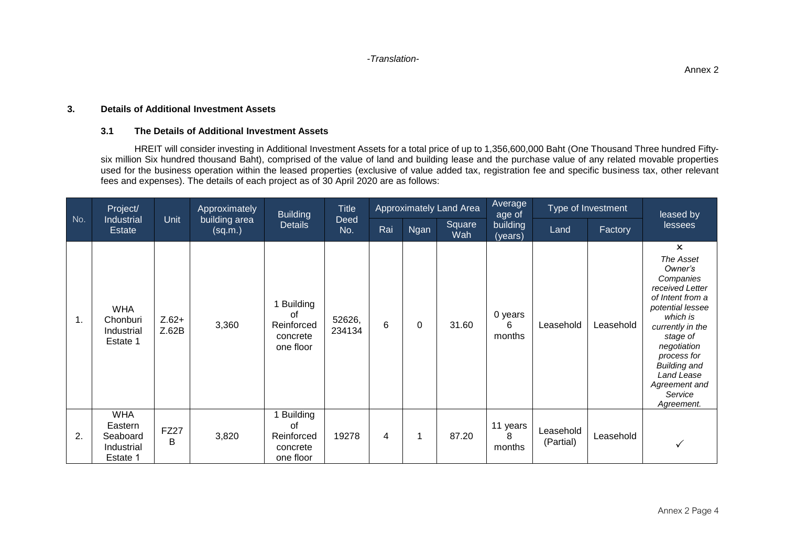*-Translation-*

#### **3. Details of Additional Investment Assets**

#### **3.1 The Details of Additional Investment Assets**

HREIT will consider investing in Additional Investment Assets for a total price of up to 1,356,600,000 Baht (One Thousand Three hundred Fiftysix million Six hundred thousand Baht), comprised of the value of land and building lease and the purchase value of any related movable properties used for the business operation within the leased properties (exclusive of value added tax, registration fee and specific business tax, other relevant fees and expenses). The details of each project as of 30 April 2020 are as follows:

|     | Project/                                                    |                  | Approximately            | <b>Building</b>                                              | <b>Title</b>     | Approximately Land Area |      |               | Average<br>age of       | Type of Investment     |           | leased by                                                                                                                                                                                                                                                             |
|-----|-------------------------------------------------------------|------------------|--------------------------|--------------------------------------------------------------|------------------|-------------------------|------|---------------|-------------------------|------------------------|-----------|-----------------------------------------------------------------------------------------------------------------------------------------------------------------------------------------------------------------------------------------------------------------------|
| No. | Industrial<br><b>Estate</b>                                 | Unit             | building area<br>(sq.m.) | <b>Details</b>                                               | Deed<br>No.      | Rai                     | Ngan | Square<br>Wah | building<br>(years)     | Land                   | Factory   | lessees                                                                                                                                                                                                                                                               |
| 1.  | <b>WHA</b><br>Chonburi<br>Industrial<br>Estate 1            | $Z.62+$<br>Z.62B | 3,360                    | <b>Building</b><br>0f<br>Reinforced<br>concrete<br>one floor | 52626,<br>234134 | 6                       | 0    | 31.60         | 0 years<br>6<br>months  | Leasehold              | Leasehold | $\mathsf{x}$<br>The Asset<br>Owner's<br>Companies<br>received Letter<br>of Intent from a<br>potential lessee<br>which is<br>currently in the<br>stage of<br>negotiation<br>process for<br><b>Building and</b><br>Land Lease<br>Agreement and<br>Service<br>Agreement. |
| 2.  | <b>WHA</b><br>Eastern<br>Seaboard<br>Industrial<br>Estate 1 | <b>FZ27</b><br>B | 3,820                    | <b>Building</b><br>of<br>Reinforced<br>concrete<br>one floor | 19278            | 4                       | 1    | 87.20         | 11 years<br>8<br>months | Leasehold<br>(Partial) | Leasehold | $\checkmark$                                                                                                                                                                                                                                                          |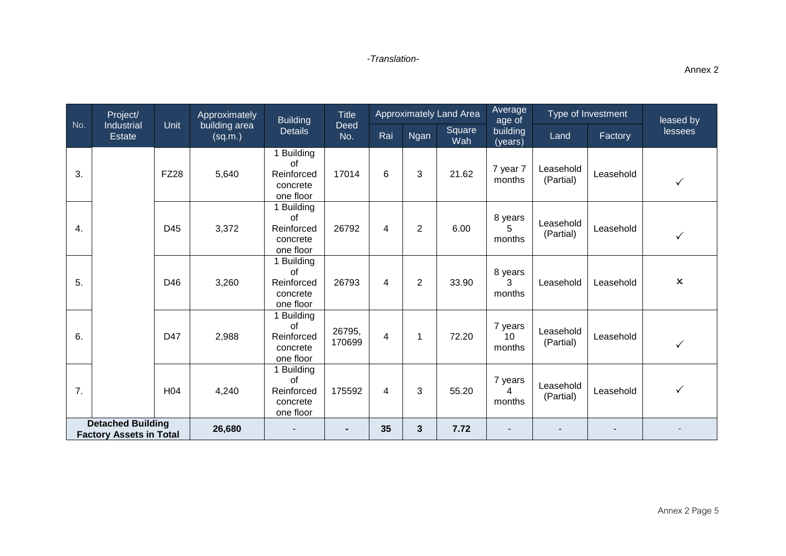|                                                            | Project/                    |                 | Approximately            | <b>Building</b>                                                | <b>Title</b>       | <b>Approximately Land Area</b> |                |               | Average<br>age of       | Type of Investment     |           | leased by                 |  |
|------------------------------------------------------------|-----------------------------|-----------------|--------------------------|----------------------------------------------------------------|--------------------|--------------------------------|----------------|---------------|-------------------------|------------------------|-----------|---------------------------|--|
| No.                                                        | Industrial<br><b>Estate</b> | Unit            | building area<br>(sq.m.) | <b>Details</b>                                                 | <b>Deed</b><br>No. | Rai                            | Ngan           | Square<br>Wah | building<br>(years)     | Land                   | Factory   | lessees                   |  |
| 3.                                                         |                             | <b>FZ28</b>     | 5,640                    | 1 Building<br>of<br>Reinforced<br>concrete<br>one floor        | 17014              | 6                              | 3              | 21.62         | 7 year 7<br>months      | Leasehold<br>(Partial) | Leasehold | $\checkmark$              |  |
| 4.                                                         |                             | D45             | 3,372                    | 1 Building<br><b>of</b><br>Reinforced<br>concrete<br>one floor | 26792              | 4                              | $\overline{2}$ | 6.00          | 8 years<br>5<br>months  | Leasehold<br>(Partial) | Leasehold | $\checkmark$              |  |
| 5.                                                         |                             | D46             | 3,260                    | 1 Building<br>of<br>Reinforced<br>concrete<br>one floor        | 26793              | 4                              | $\overline{2}$ | 33.90         | 8 years<br>3<br>months  | Leasehold              | Leasehold | $\boldsymbol{\mathsf{x}}$ |  |
| 6.                                                         |                             | D47             | 2,988                    | 1 Building<br>οf<br>Reinforced<br>concrete<br>one floor        | 26795,<br>170699   | 4                              | 1              | 72.20         | 7 years<br>10<br>months | Leasehold<br>(Partial) | Leasehold | $\checkmark$              |  |
| 7.                                                         |                             | H <sub>04</sub> | 4,240                    | 1 Building<br>of<br>Reinforced<br>concrete<br>one floor        | 175592             | 4                              | 3              | 55.20         | 7 years<br>4<br>months  | Leasehold<br>(Partial) | Leasehold | $\checkmark$              |  |
| <b>Detached Building</b><br><b>Factory Assets in Total</b> |                             |                 | 26,680                   |                                                                | ۰.                 | 35                             | 3              | 7.72          |                         |                        |           |                           |  |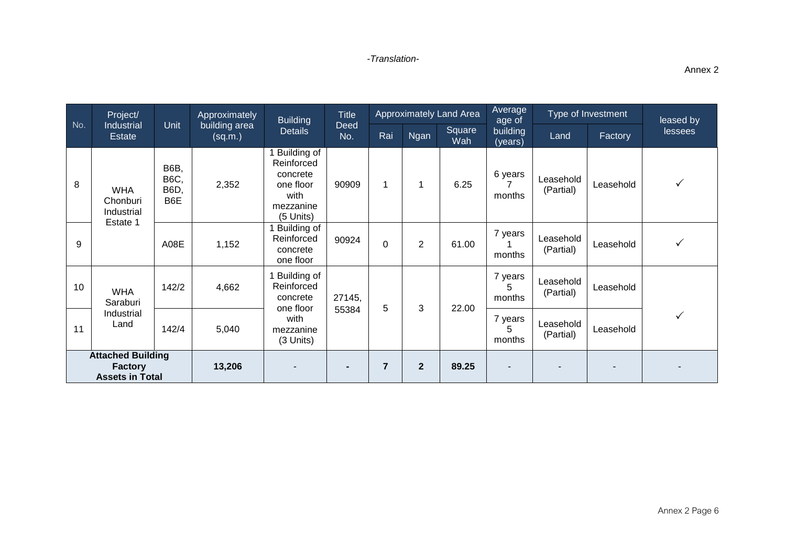|                                                                      | Project/                             |                                           | Approximately<br>building area<br>(sq.m.) | <b>Building</b><br><b>Details</b>                                                    | <b>Title</b><br>Deed<br>No. | Approximately Land Area |                |               | Average<br>age of      | Type of Investment     |           | leased by      |
|----------------------------------------------------------------------|--------------------------------------|-------------------------------------------|-------------------------------------------|--------------------------------------------------------------------------------------|-----------------------------|-------------------------|----------------|---------------|------------------------|------------------------|-----------|----------------|
| No.                                                                  | Industrial<br>Estate                 | <b>Unit</b>                               |                                           |                                                                                      |                             | Rai                     | <b>Ngan</b>    | Square<br>Wah | building<br>(years)    | Land                   | Factory   | <b>lessees</b> |
| 8                                                                    | <b>WHA</b><br>Chonburi<br>Industrial | <b>B6B,</b><br><b>B6C,</b><br>B6D,<br>B6E | 2,352                                     | Building of<br>Reinforced<br>concrete<br>one floor<br>with<br>mezzanine<br>(5 Units) | 90909                       | 1                       | 1              | 6.25          | 6 years<br>months      | Leasehold<br>(Partial) | Leasehold | $\checkmark$   |
| 9                                                                    | Estate 1                             | A08E                                      | 1,152                                     | Building of<br>Reinforced<br>concrete<br>one floor                                   | 90924                       | $\mathbf 0$             | $\overline{2}$ | 61.00         | 7 years<br>months      | Leasehold<br>(Partial) | Leasehold | ✓              |
| 10                                                                   | <b>WHA</b><br>Saraburi               | 142/2                                     | 4,662                                     | Building of<br>Reinforced<br>concrete<br>one floor                                   | 27145,                      |                         | 5<br>3         | 22.00         | 7 years<br>5<br>months | Leasehold<br>(Partial) | Leasehold |                |
| 11                                                                   | Industrial<br>Land                   | 142/4                                     | 5,040                                     | with<br>mezzanine<br>(3 Units)                                                       | 55384                       |                         |                |               | 7 years<br>5<br>months | Leasehold<br>(Partial) | Leasehold | $\checkmark$   |
| <b>Attached Building</b><br><b>Factory</b><br><b>Assets in Total</b> |                                      | 13,206                                    |                                           | $\blacksquare$                                                                       | $\overline{7}$              | $\overline{2}$          | 89.25          |               |                        |                        |           |                |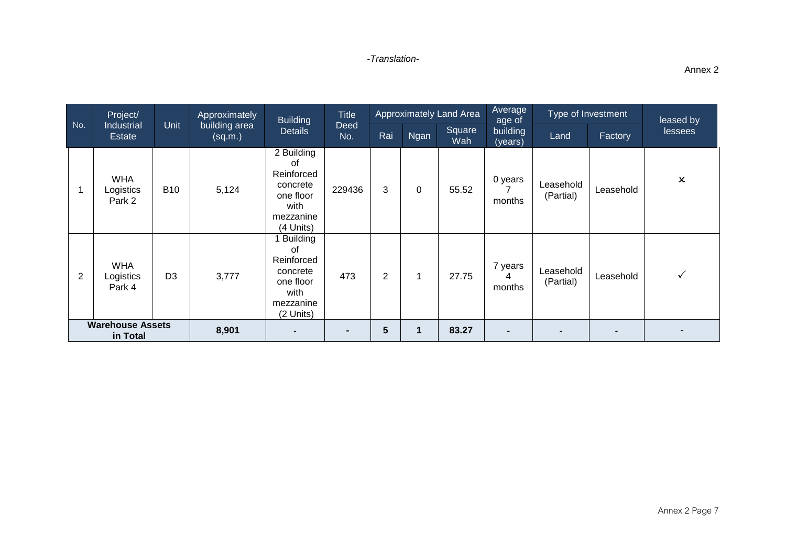|                                     | Project/                          |                | Approximately<br>building area<br>(sq.m.) | <b>Building</b><br><b>Details</b>                                                              | <b>Title</b><br>Deed<br>No. | Approximately Land Area |             |                          | Average<br>age of      | Type of Investment     |           | leased by                 |
|-------------------------------------|-----------------------------------|----------------|-------------------------------------------|------------------------------------------------------------------------------------------------|-----------------------------|-------------------------|-------------|--------------------------|------------------------|------------------------|-----------|---------------------------|
| No.                                 | <b>Industrial</b><br>Estate       | <b>Unit</b>    |                                           |                                                                                                |                             | Rai                     | Ngan        | Square<br>Wah            | building<br>(years)    | Land                   | Factory   | <b>lessees</b>            |
|                                     | <b>WHA</b><br>Logistics<br>Park 2 | <b>B10</b>     | 5,124                                     | 2 Building<br>οf<br>Reinforced<br>concrete<br>one floor<br>with<br>mezzanine<br>(4 Units)      | 229436                      | 3                       | $\mathbf 0$ | 55.52                    | 0 years<br>months      | Leasehold<br>(Partial) | Leasehold | $\boldsymbol{\mathsf{x}}$ |
| 2                                   | <b>WHA</b><br>Logistics<br>Park 4 | D <sub>3</sub> | 3,777                                     | <b>Building</b><br>0f<br>Reinforced<br>concrete<br>one floor<br>with<br>mezzanine<br>(2 Units) | 473                         | $\overline{2}$          | 1           | 27.75                    | 7 years<br>4<br>months | Leasehold<br>(Partial) | Leasehold | $\checkmark$              |
| <b>Warehouse Assets</b><br>in Total |                                   | 8,901          |                                           |                                                                                                | 5                           |                         | 83.27       | $\overline{\phantom{a}}$ |                        |                        |           |                           |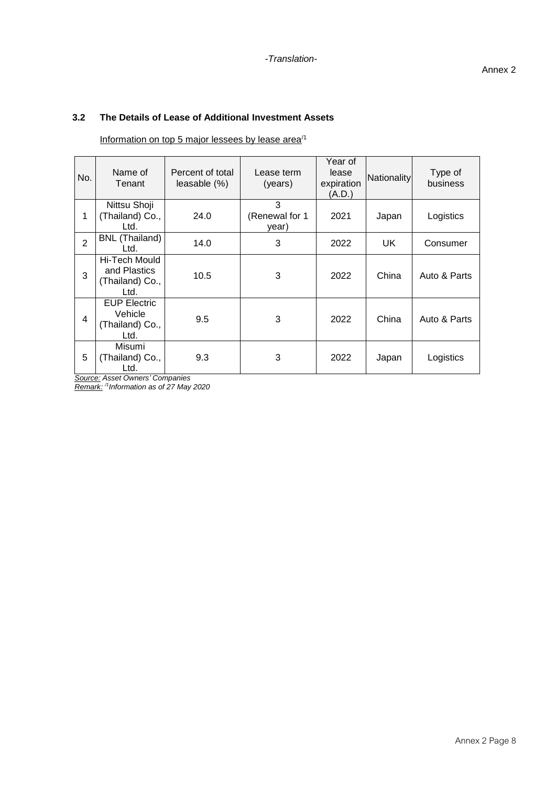# **3.2 The Details of Lease of Additional Investment Assets**

Information on top 5 major lessees by lease area<sup>/1</sup>

| No.            | Name of<br>Tenant                                         | Percent of total<br>leasable (%) | Lease term<br>(years)        | Year of<br>lease<br>expiration<br>(A.D.) | Nationality | Type of<br>business |
|----------------|-----------------------------------------------------------|----------------------------------|------------------------------|------------------------------------------|-------------|---------------------|
| 1              | Nittsu Shoji<br>(Thailand) Co.,<br>Ltd.                   | 24.0                             | 3<br>(Renewal for 1<br>year) | 2021                                     | Japan       | Logistics           |
| $\overline{2}$ | BNL (Thailand)<br>Ltd.                                    | 14.0                             | 3                            | 2022                                     | UK.         | Consumer            |
| 3              | Hi-Tech Mould<br>and Plastics<br>(Thailand) Co.,<br>Ltd.  | 10.5                             | 3                            | 2022                                     | China       | Auto & Parts        |
| 4              | <b>EUP Electric</b><br>Vehicle<br>(Thailand) Co.,<br>Ltd. | 9.5                              | 3                            | 2022                                     | China       | Auto & Parts        |
| 5              | Misumi<br>(Thailand) Co.,<br>Ltd.                         | 9.3                              | 3                            | 2022                                     | Japan       | Logistics           |

*Source: Asset Owners' Companies*

*Remark: /1 Information as of 27 May 2020*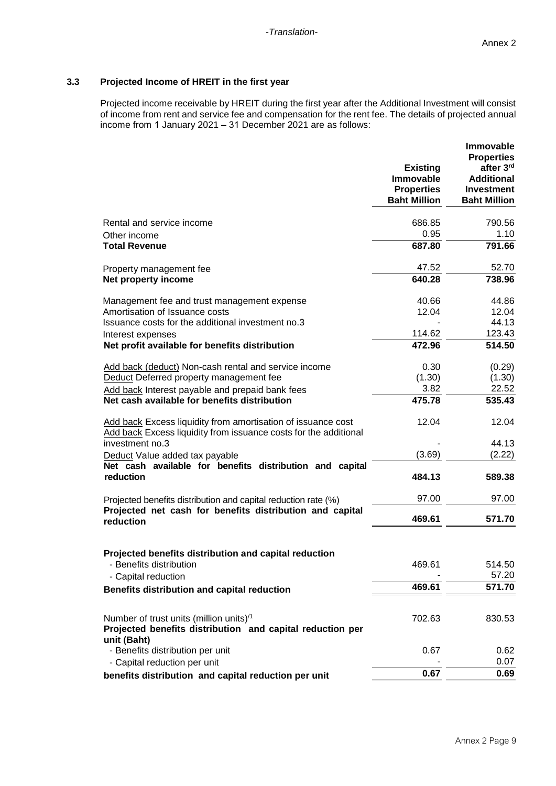### **3.3 Projected Income of HREIT in the first year**

Projected income receivable by HREIT during the first year after the Additional Investment will consist of income from rent and service fee and compensation for the rent fee. The details of projected annual income from 1 January 2021 – 31 December 2021 are as follows:

|                                                                                                                                  | <b>Existing</b><br><b>Immovable</b><br><b>Properties</b><br><b>Baht Million</b> | <b>Immovable</b><br><b>Properties</b><br>after 3rd<br><b>Additional</b><br><b>Investment</b><br><b>Baht Million</b> |
|----------------------------------------------------------------------------------------------------------------------------------|---------------------------------------------------------------------------------|---------------------------------------------------------------------------------------------------------------------|
| Rental and service income                                                                                                        | 686.85                                                                          | 790.56                                                                                                              |
| Other income                                                                                                                     | 0.95                                                                            | 1.10                                                                                                                |
| <b>Total Revenue</b>                                                                                                             | 687.80                                                                          | 791.66                                                                                                              |
| Property management fee                                                                                                          | 47.52                                                                           | 52.70                                                                                                               |
| Net property income                                                                                                              | 640.28                                                                          | 738.96                                                                                                              |
| Management fee and trust management expense                                                                                      | 40.66                                                                           | 44.86                                                                                                               |
| Amortisation of Issuance costs                                                                                                   | 12.04                                                                           | 12.04                                                                                                               |
| Issuance costs for the additional investment no.3                                                                                |                                                                                 | 44.13                                                                                                               |
| Interest expenses                                                                                                                | 114.62                                                                          | 123.43                                                                                                              |
| Net profit available for benefits distribution                                                                                   | 472.96                                                                          | 514.50                                                                                                              |
| Add back (deduct) Non-cash rental and service income                                                                             | 0.30                                                                            | (0.29)                                                                                                              |
| Deduct Deferred property management fee                                                                                          | (1.30)                                                                          | (1.30)                                                                                                              |
| Add back Interest payable and prepaid bank fees                                                                                  | 3.82                                                                            | 22.52                                                                                                               |
| Net cash available for benefits distribution                                                                                     | 475.78                                                                          | 535.43                                                                                                              |
| Add back Excess liquidity from amortisation of issuance cost<br>Add back Excess liquidity from issuance costs for the additional | 12.04                                                                           | 12.04                                                                                                               |
| investment no.3                                                                                                                  |                                                                                 | 44.13                                                                                                               |
| Deduct Value added tax payable                                                                                                   | (3.69)                                                                          | (2.22)                                                                                                              |
| Net cash available for benefits distribution and capital<br>reduction                                                            | 484.13                                                                          | 589.38                                                                                                              |
| Projected benefits distribution and capital reduction rate (%)                                                                   | 97.00                                                                           | 97.00                                                                                                               |
| Projected net cash for benefits distribution and capital<br>reduction                                                            | 469.61                                                                          | 571.70                                                                                                              |
| Projected benefits distribution and capital reduction<br>- Benefits distribution<br>- Capital reduction                          | 469.61                                                                          | 514.50<br>57.20                                                                                                     |
|                                                                                                                                  | 469.61                                                                          | 571.70                                                                                                              |
| Benefits distribution and capital reduction                                                                                      |                                                                                 |                                                                                                                     |
| Number of trust units (million units) <sup>/1</sup><br>Projected benefits distribution and capital reduction per<br>unit (Baht)  | 702.63                                                                          | 830.53                                                                                                              |
| - Benefits distribution per unit                                                                                                 | 0.67                                                                            | 0.62                                                                                                                |
| - Capital reduction per unit                                                                                                     |                                                                                 | 0.07                                                                                                                |
| benefits distribution and capital reduction per unit                                                                             | 0.67                                                                            | 0.69                                                                                                                |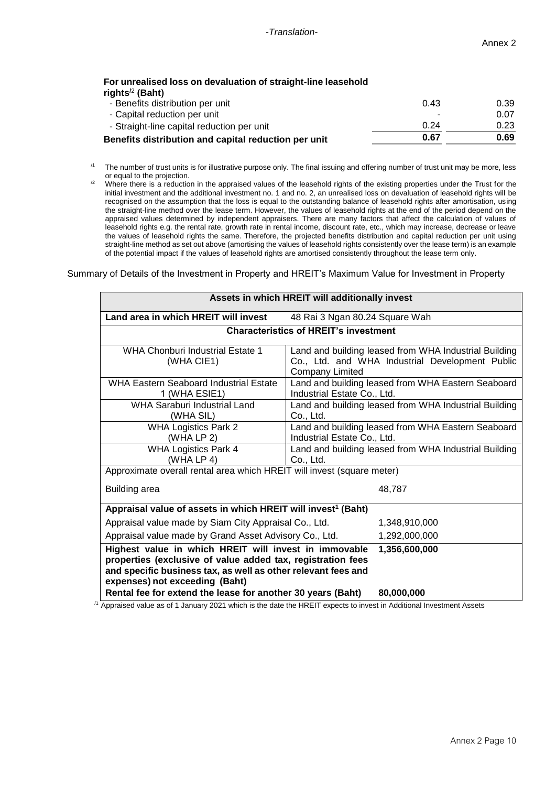### **For unrealised loss on devaluation of straight-line leasehold rights/**<sup>2</sup> **(Baht)**

| Benefits distribution and capital reduction per unit | 0.67                     | 0.69 |
|------------------------------------------------------|--------------------------|------|
| - Straight-line capital reduction per unit           | 0.24                     | 0.23 |
| - Capital reduction per unit                         | $\overline{\phantom{a}}$ | 0.07 |
| - Benefits distribution per unit                     | 0.43                     | 0.39 |
|                                                      |                          |      |

- $11$  The number of trust units is for illustrative purpose only. The final issuing and offering number of trust unit may be more, less or equal to the projection.
- <sup>/2</sup> Where there is a reduction in the appraised values of the leasehold rights of the existing properties under the Trust for the initial investment and the additional investment no. 1 and no. 2, an unrealised loss on devaluation of leasehold rights will be recognised on the assumption that the loss is equal to the outstanding balance of leasehold rights after amortisation, using the straight-line method over the lease term. However, the values of leasehold rights at the end of the period depend on the appraised values determined by independent appraisers. There are many factors that affect the calculation of values of leasehold rights e.g. the rental rate, growth rate in rental income, discount rate, etc., which may increase, decrease or leave the values of leasehold rights the same. Therefore, the projected benefits distribution and capital reduction per unit using straight-line method as set out above (amortising the values of leasehold rights consistently over the lease term) is an example of the potential impact if the values of leasehold rights are amortised consistently throughout the lease term only.

Summary of Details of the Investment in Property and HREIT's Maximum Value for Investment in Property

| Assets in which HREIT will additionally invest                                                                                                                                                                          |                                                                                                                                    |  |  |  |  |  |  |  |
|-------------------------------------------------------------------------------------------------------------------------------------------------------------------------------------------------------------------------|------------------------------------------------------------------------------------------------------------------------------------|--|--|--|--|--|--|--|
| Land area in which HREIT will invest                                                                                                                                                                                    | 48 Rai 3 Ngan 80.24 Square Wah                                                                                                     |  |  |  |  |  |  |  |
|                                                                                                                                                                                                                         | <b>Characteristics of HREIT's investment</b>                                                                                       |  |  |  |  |  |  |  |
| WHA Chonburi Industrial Estate 1<br>(WHA CIE1)                                                                                                                                                                          | Land and building leased from WHA Industrial Building<br>Co., Ltd. and WHA Industrial Development Public<br><b>Company Limited</b> |  |  |  |  |  |  |  |
| <b>WHA Eastern Seaboard Industrial Estate</b><br>1 (WHA ESIE1)                                                                                                                                                          | Land and building leased from WHA Eastern Seaboard<br>Industrial Estate Co., Ltd.                                                  |  |  |  |  |  |  |  |
| <b>WHA Saraburi Industrial Land</b><br>(WHA SIL)                                                                                                                                                                        | Land and building leased from WHA Industrial Building<br>Co., Ltd.                                                                 |  |  |  |  |  |  |  |
| WHA Logistics Park 2<br>(WHA LP 2)                                                                                                                                                                                      | Land and building leased from WHA Eastern Seaboard<br>Industrial Estate Co., Ltd.                                                  |  |  |  |  |  |  |  |
| <b>WHA Logistics Park 4</b><br>Land and building leased from WHA Industrial Building<br>(WHA LP 4)<br>Co., Ltd.                                                                                                         |                                                                                                                                    |  |  |  |  |  |  |  |
| Approximate overall rental area which HREIT will invest (square meter)                                                                                                                                                  |                                                                                                                                    |  |  |  |  |  |  |  |
| <b>Building area</b>                                                                                                                                                                                                    | 48.787                                                                                                                             |  |  |  |  |  |  |  |
| Appraisal value of assets in which HREIT will invest <sup>1</sup> (Baht)                                                                                                                                                |                                                                                                                                    |  |  |  |  |  |  |  |
| Appraisal value made by Siam City Appraisal Co., Ltd.                                                                                                                                                                   | 1,348,910,000                                                                                                                      |  |  |  |  |  |  |  |
| Appraisal value made by Grand Asset Advisory Co., Ltd.                                                                                                                                                                  | 1,292,000,000                                                                                                                      |  |  |  |  |  |  |  |
| Highest value in which HREIT will invest in immovable<br>properties (exclusive of value added tax, registration fees<br>and specific business tax, as well as other relevant fees and<br>expenses) not exceeding (Baht) | 1,356,600,000                                                                                                                      |  |  |  |  |  |  |  |
| Rental fee for extend the lease for another 30 years (Baht)<br>$\sim$ 0004 $\sim$ 5 $\sim$ 5 $\sim$ 4 $\sim$ 5 $\sim$ 4 $\sim$ 4 $\sim$ 5 $\sim$ 5 $\sim$ 5 $\sim$                                                      | 80,000,000                                                                                                                         |  |  |  |  |  |  |  |

 $<sup>11</sup>$  Appraised value as of 1 January 2021 which is the date the HREIT expects to invest in Additional Investment Assets</sup>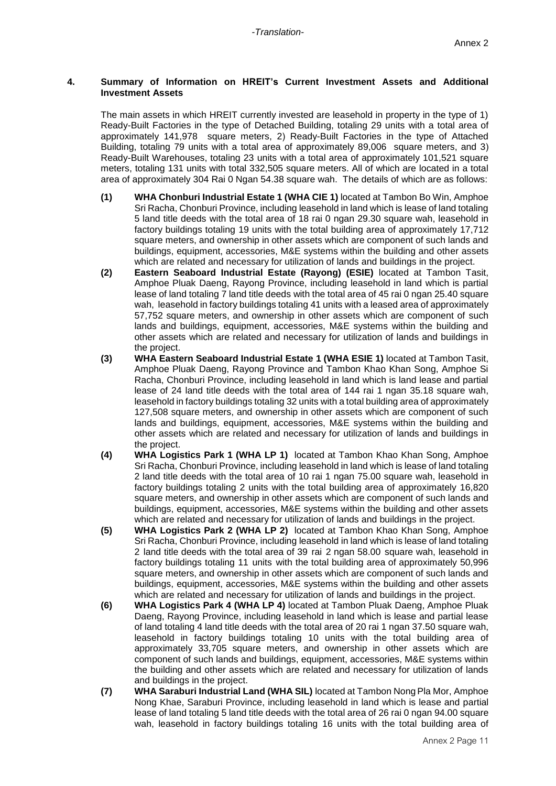#### **4. Summary of Information on HREIT's Current Investment Assets and Additional Investment Assets**

The main assets in which HREIT currently invested are leasehold in property in the type of 1) Ready-Built Factories in the type of Detached Building, totaling 29 units with a total area of approximately 141,978 square meters, 2) Ready-Built Factories in the type of Attached Building, totaling 79 units with a total area of approximately 89,006 square meters, and 3) Ready-Built Warehouses, totaling 23 units with a total area of approximately 101,521 square meters, totaling 131 units with total 332,505 square meters. All of which are located in a total area of approximately 304 Rai 0 Ngan 54.38 square wah. The details of which are as follows:

- **(1) WHA Chonburi Industrial Estate 1 (WHA CIE 1)** located at Tambon Bo Win, Amphoe Sri Racha, Chonburi Province, including leasehold in land which is lease of land totaling 5 land title deeds with the total area of 18 rai 0 ngan 29.30 square wah, leasehold in factory buildings totaling 19 units with the total building area of approximately 17,712 square meters, and ownership in other assets which are component of such lands and buildings, equipment, accessories, M&E systems within the building and other assets which are related and necessary for utilization of lands and buildings in the project.
- **(2) Eastern Seaboard Industrial Estate (Rayong) (ESIE)** located at Tambon Tasit, Amphoe Pluak Daeng, Rayong Province, including leasehold in land which is partial lease of land totaling 7 land title deeds with the total area of 45 rai 0 ngan 25.40 square wah, leasehold in factory buildings totaling 41 units with a leased area of approximately 57,752 square meters, and ownership in other assets which are component of such lands and buildings, equipment, accessories, M&E systems within the building and other assets which are related and necessary for utilization of lands and buildings in the project.
- **(3) WHA Eastern Seaboard Industrial Estate 1 (WHA ESIE 1)** located at Tambon Tasit, Amphoe Pluak Daeng, Rayong Province and Tambon Khao Khan Song, Amphoe Si Racha, Chonburi Province, including leasehold in land which is land lease and partial lease of 24 land title deeds with the total area of 144 rai 1 ngan 35.18 square wah, leasehold in factory buildings totaling 32 units with a total building area of approximately 127,508 square meters, and ownership in other assets which are component of such lands and buildings, equipment, accessories, M&E systems within the building and other assets which are related and necessary for utilization of lands and buildings in the project.
- **(4) WHA Logistics Park 1 (WHA LP 1)** located at Tambon Khao Khan Song, Amphoe Sri Racha, Chonburi Province, including leasehold in land which is lease of land totaling 2 land title deeds with the total area of 10 rai 1 ngan 75.00 square wah, leasehold in factory buildings totaling 2 units with the total building area of approximately 16,820 square meters, and ownership in other assets which are component of such lands and buildings, equipment, accessories, M&E systems within the building and other assets which are related and necessary for utilization of lands and buildings in the project.
- **(5) WHA Logistics Park 2 (WHA LP 2)** located at Tambon Khao Khan Song, Amphoe Sri Racha, Chonburi Province, including leasehold in land which is lease of land totaling 2 land title deeds with the total area of 39 rai 2 ngan 58.00 square wah, leasehold in factory buildings totaling 11 units with the total building area of approximately 50,996 square meters, and ownership in other assets which are component of such lands and buildings, equipment, accessories, M&E systems within the building and other assets which are related and necessary for utilization of lands and buildings in the project.
- **(6) WHA Logistics Park 4 (WHA LP 4)** located at Tambon Pluak Daeng, Amphoe Pluak Daeng, Rayong Province, including leasehold in land which is lease and partial lease of land totaling 4 land title deeds with the total area of 20 rai 1 ngan 37.50 square wah, leasehold in factory buildings totaling 10 units with the total building area of approximately 33,705 square meters, and ownership in other assets which are component of such lands and buildings, equipment, accessories, M&E systems within the building and other assets which are related and necessary for utilization of lands and buildings in the project.
- **(7) WHA Saraburi Industrial Land (WHA SIL)** located at Tambon NongPla Mor, Amphoe Nong Khae, Saraburi Province, including leasehold in land which is lease and partial lease of land totaling 5 land title deeds with the total area of 26 rai 0 ngan 94.00 square wah, leasehold in factory buildings totaling 16 units with the total building area of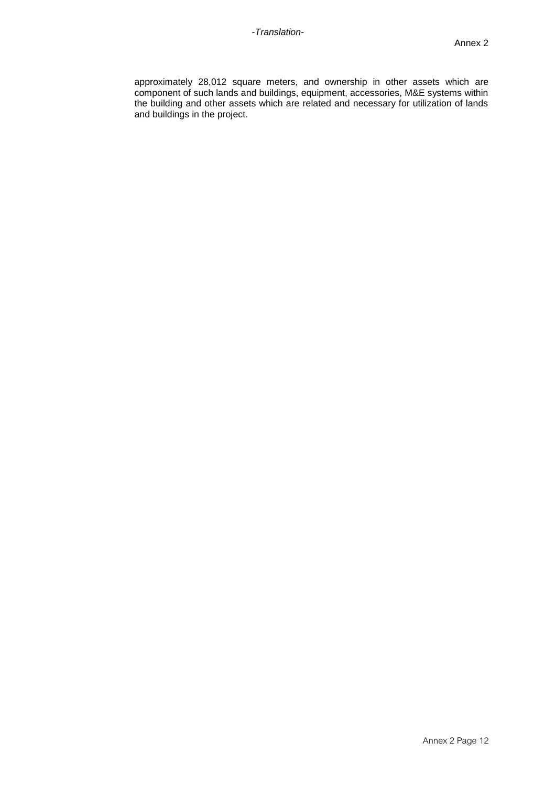approximately 28,012 square meters, and ownership in other assets which are component of such lands and buildings, equipment, accessories, M&E systems within the building and other assets which are related and necessary for utilization of lands and buildings in the project.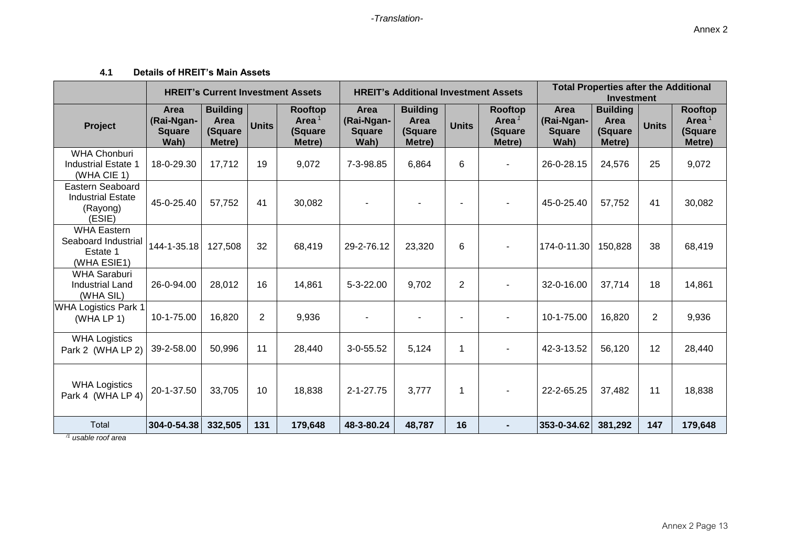## **4.1 Details of HREIT's Main Assets**

|                                                                      |                                             | <b>HREIT's Current Investment Assets</b>     |                |                                          |                                             | <b>HREIT's Additional Investment Assets</b>  |                |                                          | <b>Total Properties after the Additional</b><br><b>Investment</b> |                                              |                |                                          |
|----------------------------------------------------------------------|---------------------------------------------|----------------------------------------------|----------------|------------------------------------------|---------------------------------------------|----------------------------------------------|----------------|------------------------------------------|-------------------------------------------------------------------|----------------------------------------------|----------------|------------------------------------------|
| <b>Project</b>                                                       | Area<br>(Rai-Ngan-<br><b>Square</b><br>Wah) | <b>Building</b><br>Area<br>(Square<br>Metre) | <b>Units</b>   | Rooftop<br>Area $1$<br>(Square<br>Metre) | Area<br>(Rai-Ngan-<br><b>Square</b><br>Wah) | <b>Building</b><br>Area<br>(Square<br>Metre) | <b>Units</b>   | Rooftop<br>Area $1$<br>(Square<br>Metre) | Area<br>(Rai-Ngan-<br><b>Square</b><br>Wah)                       | <b>Building</b><br>Area<br>(Square<br>Metre) | <b>Units</b>   | Rooftop<br>Area $1$<br>(Square<br>Metre) |
| <b>WHA Chonburi</b><br><b>Industrial Estate 1</b><br>(WHA CIE 1)     | 18-0-29.30                                  | 17,712                                       | 19             | 9,072                                    | 7-3-98.85                                   | 6,864                                        | 6              | $\blacksquare$                           | 26-0-28.15                                                        | 24,576                                       | 25             | 9,072                                    |
| Eastern Seaboard<br><b>Industrial Estate</b><br>(Rayong)<br>(ESIE)   | 45-0-25.40                                  | 57,752                                       | 41             | 30,082                                   |                                             |                                              |                |                                          | 45-0-25.40                                                        | 57,752                                       | 41             | 30,082                                   |
| <b>WHA Eastern</b><br>Seaboard Industrial<br>Estate 1<br>(WHA ESIE1) | 144-1-35.18                                 | 127,508                                      | 32             | 68,419                                   | 29-2-76.12                                  | 23,320                                       | 6              |                                          | 174-0-11.30                                                       | 150,828                                      | 38             | 68,419                                   |
| <b>WHA Saraburi</b><br><b>Industrial Land</b><br>(WHA SIL)           | 26-0-94.00                                  | 28,012                                       | 16             | 14,861                                   | 5-3-22.00                                   | 9,702                                        | $\overline{2}$ |                                          | 32-0-16.00                                                        | 37,714                                       | 18             | 14,861                                   |
| <b>WHA Logistics Park 1</b><br>(WHA LP 1)                            | 10-1-75.00                                  | 16,820                                       | $\overline{2}$ | 9,936                                    |                                             |                                              |                |                                          | 10-1-75.00                                                        | 16,820                                       | $\overline{2}$ | 9,936                                    |
| <b>WHA Logistics</b><br>Park 2 (WHA LP 2)                            | 39-2-58.00                                  | 50,996                                       | 11             | 28,440                                   | $3 - 0 - 55.52$                             | 5,124                                        | 1              | $\blacksquare$                           | 42-3-13.52                                                        | 56,120                                       | 12             | 28,440                                   |
| <b>WHA Logistics</b><br>Park 4 (WHA LP 4)                            | 20-1-37.50                                  | 33,705                                       | 10             | 18,838                                   | $2 - 1 - 27.75$                             | 3,777                                        | 1              |                                          | 22-2-65.25                                                        | 37,482                                       | 11             | 18,838                                   |
| Total                                                                | 304-0-54.38                                 | 332,505                                      | 131            | 179,648                                  | 48-3-80.24                                  | 48,787                                       | 16             | $\blacksquare$                           | 353-0-34.62                                                       | 381,292                                      | 147            | 179,648                                  |

*/1 usable roof area*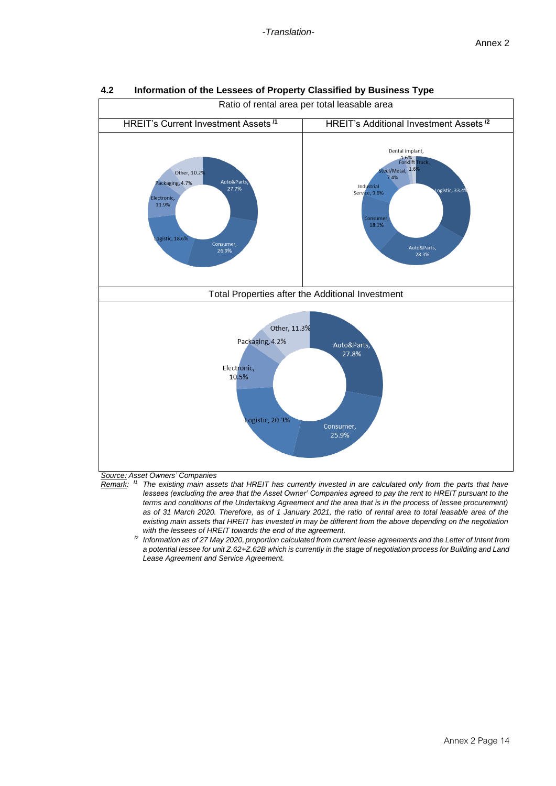

## **4.2 Information of the Lessees of Property Classified by Business Type**



- *Remark:* **/***<sup>1</sup> The existing main assets that HREIT has currently invested in are calculated only from the parts that have lessees (excluding the area that the Asset Owner' Companies agreed to pay the rent to HREIT pursuant to the terms and conditions of the Undertaking Agreement and the area that is in the process of lessee procurement) as of 31 March 2020. Therefore, as of 1 January 2021, the ratio of rental area to total leasable area of the existing main assets that HREIT has invested in may be different from the above depending on the negotiation with the lessees of HREIT towards the end of the agreement.*
	- **/***2 Information as of 27 May 2020, proportion calculated from current lease agreements and the Letter of Intent from a potential lessee for unit Z.62+Z.62B which is currently in the stage of negotiation process for Building and Land Lease Agreement and Service Agreement.*